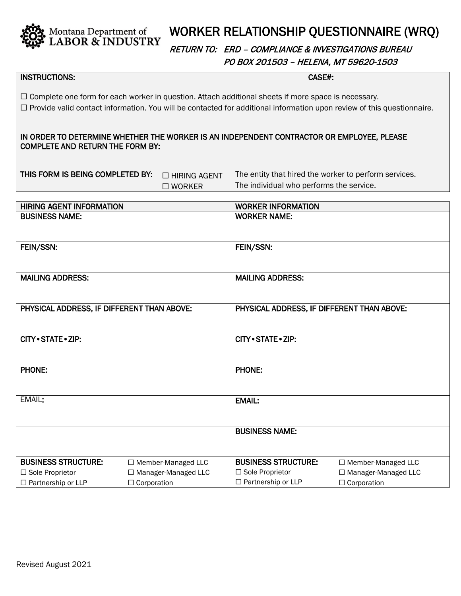

## WORKER RELATIONSHIP QUESTIONNAIRE (WRQ)

RETURN TO: ERD – COMPLIANCE & INVESTIGATIONS BUREAU PO BOX 201503 – HELENA, MT 59620-1503

## INSTRUCTIONS: CASE#:

☐ Complete one form for each worker in question. Attach additional sheets if more space is necessary. ☐ Provide valid contact information. You will be contacted for additional information upon review of this questionnaire.

IN ORDER TO DETERMINE WHETHER THE WORKER IS AN INDEPENDENT CONTRACTOR OR EMPLOYEE, PLEASE COMPLETE AND RETURN THE FORM BY:

| THIS FORM IS BEING COMPLETED BY:  THIRING AGEN |                  |
|------------------------------------------------|------------------|
|                                                | $\square$ WORKER |

 $T$  The entity that hired the worker to perform services. The individual who performs the service.

| <b>HIRING AGENT INFORMATION</b>            |                       | <b>WORKER INFORMATION</b>                  |                       |
|--------------------------------------------|-----------------------|--------------------------------------------|-----------------------|
| <b>BUSINESS NAME:</b>                      |                       | <b>WORKER NAME:</b>                        |                       |
| FEIN/SSN:                                  |                       | FEIN/SSN:                                  |                       |
| <b>MAILING ADDRESS:</b>                    |                       | <b>MAILING ADDRESS:</b>                    |                       |
| PHYSICAL ADDRESS, IF DIFFERENT THAN ABOVE: |                       | PHYSICAL ADDRESS, IF DIFFERENT THAN ABOVE: |                       |
| CITY . STATE . ZIP:                        |                       | CITY · STATE · ZIP:                        |                       |
| <b>PHONE:</b>                              |                       | <b>PHONE:</b>                              |                       |
| EMAIL:                                     |                       | <b>EMAIL:</b>                              |                       |
|                                            |                       | <b>BUSINESS NAME:</b>                      |                       |
| <b>BUSINESS STRUCTURE:</b>                 | □ Member-Managed LLC  | <b>BUSINESS STRUCTURE:</b>                 | □ Member-Managed LLC  |
| □ Sole Proprietor                          | □ Manager-Managed LLC | $\Box$ Sole Proprietor                     | □ Manager-Managed LLC |
| $\Box$ Partnership or LLP                  | $\Box$ Corporation    | $\Box$ Partnership or LLP                  | $\Box$ Corporation    |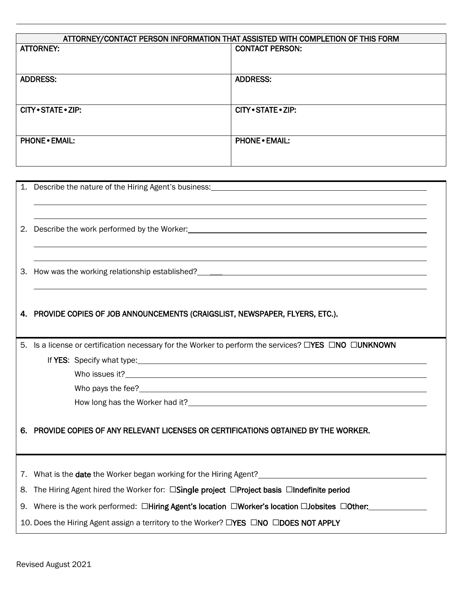| ATTORNEY/CONTACT PERSON INFORMATION THAT ASSISTED WITH COMPLETION OF THIS FORM |                        |  |
|--------------------------------------------------------------------------------|------------------------|--|
| <b>ATTORNEY:</b>                                                               | <b>CONTACT PERSON:</b> |  |
|                                                                                |                        |  |
|                                                                                |                        |  |
| <b>ADDRESS:</b>                                                                | <b>ADDRESS:</b>        |  |
|                                                                                |                        |  |
|                                                                                |                        |  |
| CITY • STATE • ZIP:                                                            | CITY • STATE • ZIP:    |  |
|                                                                                |                        |  |
|                                                                                |                        |  |
| <b>PHONE • EMAIL:</b>                                                          | <b>PHONE • EMAIL:</b>  |  |
|                                                                                |                        |  |
|                                                                                |                        |  |
|                                                                                |                        |  |

| 2. |                                                                                                                                                                                                                |  |
|----|----------------------------------------------------------------------------------------------------------------------------------------------------------------------------------------------------------------|--|
| 3. | How was the working relationship established? The manufacturer of the control of the control of the control of                                                                                                 |  |
|    |                                                                                                                                                                                                                |  |
|    | 4. PROVIDE COPIES OF JOB ANNOUNCEMENTS (CRAIGSLIST, NEWSPAPER, FLYERS, ETC.).                                                                                                                                  |  |
|    |                                                                                                                                                                                                                |  |
| 5. | Is a license or certification necessary for the Worker to perform the services? $\Box$ YES $\Box$ NO $\Box$ UNKNOWN                                                                                            |  |
|    |                                                                                                                                                                                                                |  |
|    |                                                                                                                                                                                                                |  |
|    |                                                                                                                                                                                                                |  |
|    |                                                                                                                                                                                                                |  |
|    |                                                                                                                                                                                                                |  |
| 6. | PROVIDE COPIES OF ANY RELEVANT LICENSES OR CERTIFICATIONS OBTAINED BY THE WORKER.                                                                                                                              |  |
|    |                                                                                                                                                                                                                |  |
|    |                                                                                                                                                                                                                |  |
|    | 7. What is the date the Worker began working for the Hiring Agent?<br>2. What is the date the Worker began working for the Hiring Agent?<br>2. What is the date the Worker began working for the Hiring Agent? |  |
| 8. | The Hiring Agent hired the Worker for: □Single project □Project basis □Indefinite period                                                                                                                       |  |
| 9. | Where is the work performed: □Hiring Agent's location □Worker's location □Jobsites □Other:                                                                                                                     |  |
|    | 10. Does the Hiring Agent assign a territory to the Worker? □YES □NO □DOES NOT APPLY                                                                                                                           |  |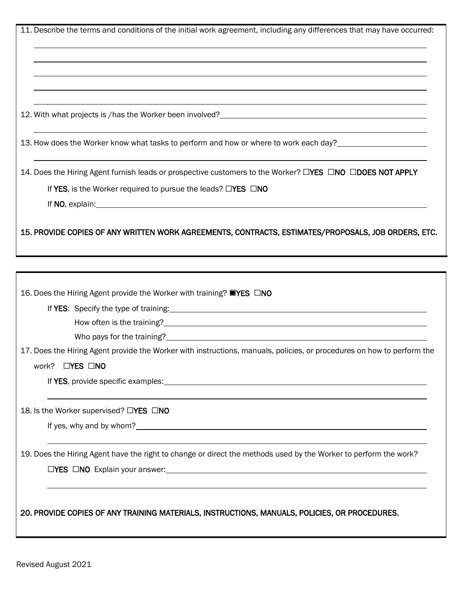| 11. Describe the terms and conditions of the initial work agreement, including any differences that may have occurred:                                  |
|---------------------------------------------------------------------------------------------------------------------------------------------------------|
|                                                                                                                                                         |
| 12. With what projects is /has the Worker been involved?<br>12. With what projects is /has the Worker been involved?                                    |
| 13. How does the Worker know what tasks to perform and how or where to work each day?                                                                   |
| 14. Does the Hiring Agent furnish leads or prospective customers to the Worker? LYES LNO LDOES NOT APPLY                                                |
| If YES, is the Worker required to pursue the leads? $\Box$ YES $\Box$ NO<br>If $NO$ , explain: $\qquad \qquad$                                          |
| 15. PROVIDE COPIES OF ANY WRITTEN WORK AGREEMENTS, CONTRACTS, ESTIMATES/PROPOSALS, JOB ORDERS, ETC.                                                     |
|                                                                                                                                                         |
| 16. Does the Hiring Agent provide the Worker with training? ■YES □NO                                                                                    |
|                                                                                                                                                         |
|                                                                                                                                                         |
| Who pays for the training?<br><u> Who pays for the training?</u>                                                                                        |
| 17. Does the Hiring Agent provide the Worker with instructions, manuals, policies, or procedures on how to perform the<br>work?<br>$\Box$ YES $\Box$ NO |
|                                                                                                                                                         |
| 18. Is the Worker supervised? □YES □NO                                                                                                                  |
|                                                                                                                                                         |
| 19. Does the Hiring Agent have the right to change or direct the methods used by the Worker to perform the work?                                        |
|                                                                                                                                                         |
| 20. PROVIDE COPIES OF ANY TRAINING MATERIALS, INSTRUCTIONS, MANUALS, POLICIES, OR PROCEDURES.                                                           |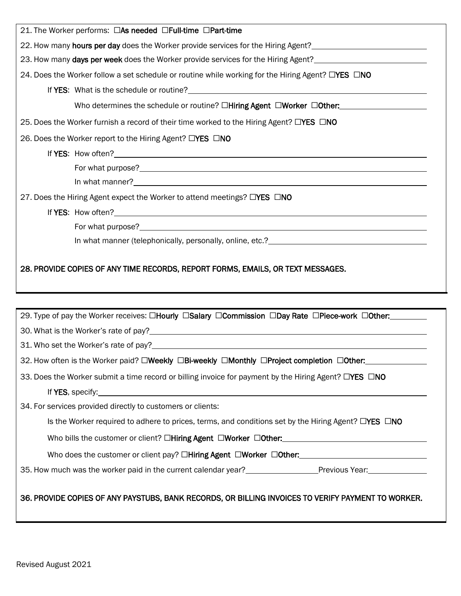| 21. The Worker performs: □As needed □Full-time □Part-time                                                                                                              |
|------------------------------------------------------------------------------------------------------------------------------------------------------------------------|
| 22. How many hours per day does the Worker provide services for the Hiring Agent?<br>22. How many hours per day does the Worker provide services for the Hiring Agent? |
|                                                                                                                                                                        |
| 24. Does the Worker follow a set schedule or routine while working for the Hiring Agent? □YES □NO                                                                      |
|                                                                                                                                                                        |
| Who determines the schedule or routine? $\Box$ Hiring Agent $\Box$ Worker $\Box$ Other:                                                                                |
| 25. Does the Worker furnish a record of their time worked to the Hiring Agent? □YES □NO                                                                                |
| 26. Does the Worker report to the Hiring Agent? □YES □NO                                                                                                               |
|                                                                                                                                                                        |
|                                                                                                                                                                        |
| In what manner?<br><u>In what manner?</u>                                                                                                                              |
| 27. Does the Hiring Agent expect the Worker to attend meetings? □YES □NO                                                                                               |
|                                                                                                                                                                        |
|                                                                                                                                                                        |
|                                                                                                                                                                        |
| 28. PROVIDE COPIES OF ANY TIME RECORDS, REPORT FORMS, EMAILS, OR TEXT MESSAGES.                                                                                        |
| 29. Type of pay the Worker receives: □Hourly □Salary □Commission □Day Rate □Piece-work □Other:                                                                         |
|                                                                                                                                                                        |
|                                                                                                                                                                        |
| 32. How often is the Worker paid? □Weekly □Bi-weekly □Monthly □Project completion □Other:                                                                              |
| 33. Does the Worker submit a time record or billing invoice for payment by the Hiring Agent? □YES □NO                                                                  |
|                                                                                                                                                                        |
| 34. For services provided directly to customers or clients:                                                                                                            |
| Is the Worker required to adhere to prices, terms, and conditions set by the Hiring Agent? $\Box$ YES $\Box$ NO                                                        |
|                                                                                                                                                                        |
| Who does the customer or client pay? □Hiring Agent □Worker □Other: <u>[1000]</u>                                                                                       |
|                                                                                                                                                                        |
| 36. PROVIDE COPIES OF ANY PAYSTUBS, BANK RECORDS, OR BILLING INVOICES TO VERIFY PAYMENT TO WORKER.                                                                     |

## Revised August 2021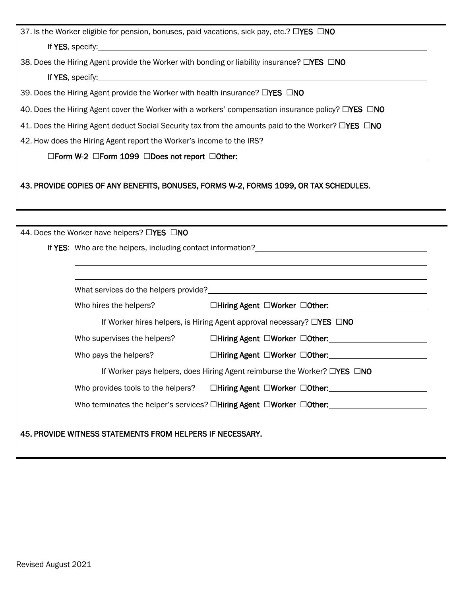| 37. Is the Worker eligible for pension, bonuses, paid vacations, sick pay, etc.? $\Box$ YES $\Box$ NO                                                                                                                                |
|--------------------------------------------------------------------------------------------------------------------------------------------------------------------------------------------------------------------------------------|
| If YES, specify: <u>example and a set of the set of the set of the set of the set of the set of the set of the set of the set of the set of the set of the set of the set of the set of the set of the set of the set of the set</u> |
| 38. Does the Hiring Agent provide the Worker with bonding or liability insurance? $\square$ YES $\square$ NO                                                                                                                         |
| If YES, specify: <u>contract and a set of the set of the set of the set of the set of the set of the set of the set of the set of the set of the set of the set of the set of the set of the set of the set of the set of the se</u> |
| 39. Does the Hiring Agent provide the Worker with health insurance? $\square$ <b>YES</b> $\square$ NO                                                                                                                                |
| 40. Does the Hiring Agent cover the Worker with a workers' compensation insurance policy? $\Box$ YES $\Box$ NO                                                                                                                       |
| 41. Does the Hiring Agent deduct Social Security tax from the amounts paid to the Worker? □YES □NO                                                                                                                                   |
| 42. How does the Hiring Agent report the Worker's income to the IRS?                                                                                                                                                                 |
| $\Box$ Form W-2 $\Box$ Form 1099 $\Box$ Does not report $\Box$ Other: $\Box$                                                                                                                                                         |
| 43. PROVIDE COPIES OF ANY BENEFITS, BONUSES, FORMS W-2, FORMS 1099, OR TAX SCHEDULES.                                                                                                                                                |
|                                                                                                                                                                                                                                      |
| 44. Does the Worker have helpers? □YES □NO                                                                                                                                                                                           |
| If YES: Who are the helpers, including contact information?<br>The manufacture of the manufacture of the manufacture of the manufacture of the manufacture of the manufactur                                                         |

| Who hires the helpers?      |                                                                                                    |
|-----------------------------|----------------------------------------------------------------------------------------------------|
|                             | If Worker hires helpers, is Hiring Agent approval necessary? $\Box$ YES $\Box$ NO                  |
| Who supervises the helpers? | $\Box$ Hiring Agent $\Box$ Worker $\Box$ Other:                                                    |
| Who pays the helpers?       | $\Box$ Hiring Agent $\Box$ Worker $\Box$ Other:                                                    |
|                             | If Worker pays helpers, does Hiring Agent reimburse the Worker? $\Box$ <b>YES</b> $\Box$ <b>NO</b> |
|                             | Who provides tools to the helpers? $\square$ Hiring Agent $\square$ Worker $\square$ Other:        |
|                             | Who terminates the helper's services? $\Box$ Hiring Agent $\Box$ Worker $\Box$ Other:              |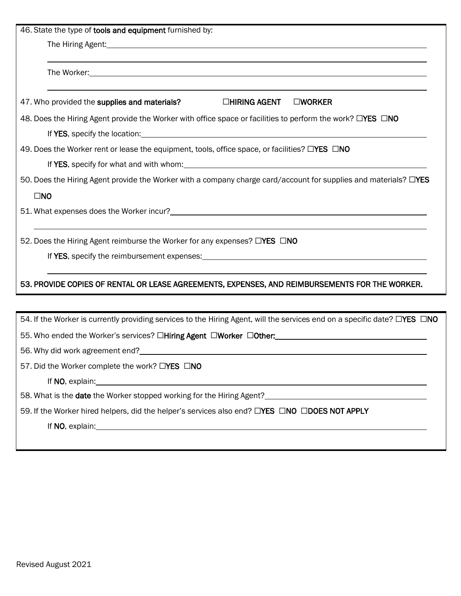| 46. State the type of tools and equipment furnished by:                                                                                                                                                                              |
|--------------------------------------------------------------------------------------------------------------------------------------------------------------------------------------------------------------------------------------|
|                                                                                                                                                                                                                                      |
|                                                                                                                                                                                                                                      |
| The Worker: with the contract of the contract of the contract of the contract of the contract of the contract of the contract of the contract of the contract of the contract of the contract of the contract of the contract        |
| □HIRING AGENT<br>47. Who provided the supplies and materials?<br><b>OWORKER</b>                                                                                                                                                      |
| 48. Does the Hiring Agent provide the Worker with office space or facilities to perform the work? OYES ONO                                                                                                                           |
| If YES, specify the location: example and the set of the set of the set of the set of the set of the set of the set of the set of the set of the set of the set of the set of the set of the set of the set of the set of the        |
| 49. Does the Worker rent or lease the equipment, tools, office space, or facilities? $\square$ YES $\square$ NO                                                                                                                      |
|                                                                                                                                                                                                                                      |
| 50. Does the Hiring Agent provide the Worker with a company charge card/account for supplies and materials? □YES                                                                                                                     |
| $\square$ NO                                                                                                                                                                                                                         |
|                                                                                                                                                                                                                                      |
|                                                                                                                                                                                                                                      |
| 52. Does the Hiring Agent reimburse the Worker for any expenses? □YES □NO                                                                                                                                                            |
| If YES, specify the reimbursement expenses: example and the state of the state of the state of the state of the state of the state of the state of the state of the state of the state of the state of the state of the state        |
|                                                                                                                                                                                                                                      |
| 53. PROVIDE COPIES OF RENTAL OR LEASE AGREEMENTS, EXPENSES, AND REIMBURSEMENTS FOR THE WORKER.                                                                                                                                       |
|                                                                                                                                                                                                                                      |
| 54. If the Worker is currently providing services to the Hiring Agent, will the services end on a specific date? □YES □NO                                                                                                            |
|                                                                                                                                                                                                                                      |
| 56. Why did work agreement end? example a state of the state of the state of the state of the state of the state of the state of the state of the state of the state of the state of the state of the state of the state of th       |
| 57. Did the Worker complete the work? □YES □NO                                                                                                                                                                                       |
| If NO, explain: <u>contract the contract of the contract of the contract of the contract of the contract of the contract of the contract of the contract of the contract of the contract of the contract of the contract of the </u> |
|                                                                                                                                                                                                                                      |
| 59. If the Worker hired helpers, did the helper's services also end? <b>EYES  FINO LIDOES NOT APPLY</b>                                                                                                                              |
|                                                                                                                                                                                                                                      |